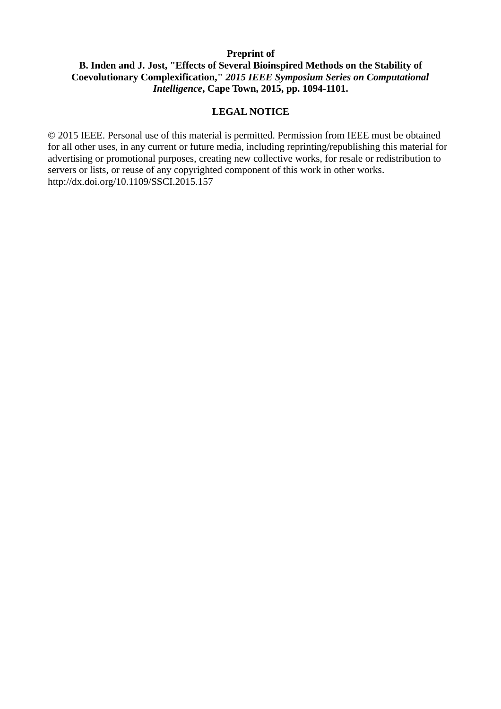## **Preprint of**

# **B. Inden and J. Jost, "Effects of Several Bioinspired Methods on the Stability of Coevolutionary Complexification,"** *2015 IEEE Symposium Series on Computational Intelligence***, Cape Town, 2015, pp. 1094-1101.**

# **LEGAL NOTICE**

© 2015 IEEE. Personal use of this material is permitted. Permission from IEEE must be obtained for all other uses, in any current or future media, including reprinting/republishing this material for advertising or promotional purposes, creating new collective works, for resale or redistribution to servers or lists, or reuse of any copyrighted component of this work in other works. http://dx.doi.org/10.1109/SSCI.2015.157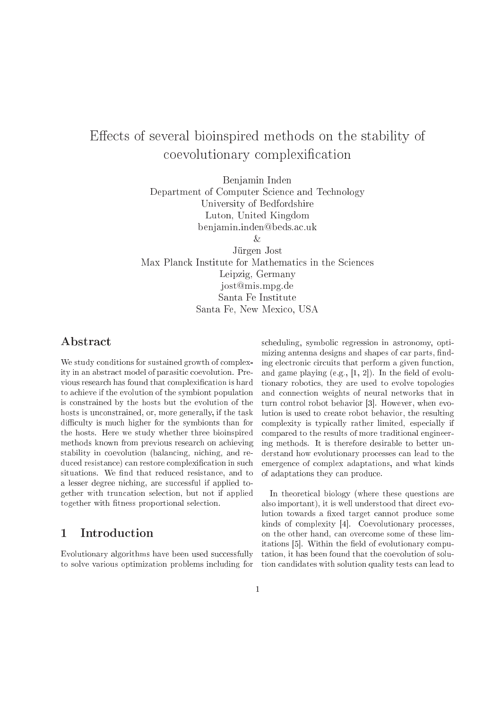# Effects of several bioinspired methods on the stability of oevolutionary omplexi
ation

Benjamin Inden Department of Computer Science and Technology University of Bedfordshire Luton, United Kingdom benjamin.inden@beds.ac.uk Řг.

Jürgen Jost Max Planck Institute for Mathematics in the Sciences Leipzig, Germany jost@mis.mpg.de Santa Fe Institute Santa Fe, New Mexi
o, USA

# Abstra
t

We study conditions for sustained growth of complexity in an abstract model of parasitic coevolution. Previous research has found that complexification is hard to a
hieve if the evolution of the symbiont population is onstrained by the hosts but the evolution of the hosts is un
onstrained, or, more generally, if the task difficulty is much higher for the symbionts than for the hosts. Here we study whether three bioinspired methods known from previous resear
h on a
hieving stability in coevolution (balancing, niching, and reduced resistance) can restore complexification in such situations. We find that reduced resistance, and to a lesser degree niching, are successful if applied together with trun
ation sele
tion, but not if applied together with fitness proportional selection.

#### **Introduction**  $\mathbf{1}$

Evolutionary algorithms have been used successfully to solve various optimization problems in
luding for

s
heduling, symboli regression in astronomy, optimizing antenna designs and shapes of car parts, finding electronic circuits that perform a given function, and game playing (e.g.,  $[1, 2]$ ). In the field of evolutionary roboti
s, they are used to evolve topologies and onne
tion weights of neural networks that in turn control robot behavior [3]. However, when evolution is used to create robot behavior, the resulting omplexity is typi
ally rather limited, espe
ially if ompared to the results of more traditional engineering methods. It is therefore desirable to better understand how evolutionary pro
esses an lead to the emergen
e of omplex adaptations, and what kinds of adaptations they an produ
e.

In theoreti
al biology (where these questions are also important), it is well understood that direct evolution towards a fixed target cannot produce some kinds of complexity  $[4]$ . Coevolutionary processes, on the other hand, an over
ome some of these limitations [5]. Within the field of evolutionary computation, it has been found that the oevolution of solution andidates with solution quality tests an lead to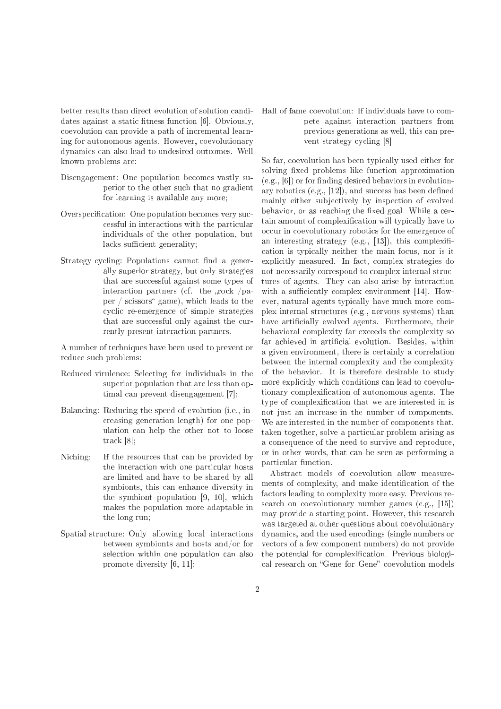better results than direct evolution of solution candidates against a static fitness function  $[6]$ . Obviously, oevolution an provide a path of in
remental learning for autonomous agents. However, oevolutionary dynami
s an also lead to undesired out
omes. Well known problems are:

- Disengagement: One population be
omes vastly superior to the other su
h that no gradient for learning is available any more;
- Overspecification: One population becomes very sucessful in intera
tions with the parti
ular individuals of the other population, but lacks sufficient generality;
- Strategy cycling: Populations cannot find a generally superior strategy, but only strategies that are successful against some types of interaction partners (cf. the "rock /paper / scissors game), which leads to the cyclic re-emergence of simple strategies that are successful only against the currently present intera
tion partners.

A number of te
hniques have been used to prevent or redu
e su
h problems:

- Redu
ed virulen
e: Sele
ting for individuals in the superior population that are less than optimal can prevent disengagement  $[7]$ ;
- Balancing: Reducing the speed of evolution (i.e., inreasing generation length) for one population an help the other not to loose track [8];
- Niching: If the resources that can be provided by the interaction with one particular hosts are limited and have to be shared by all symbionts, this an enhan
e diversity in the symbiont population  $[9, 10]$ , which makes the population more adaptable in the long run;
- Spatial structure: Only allowing local interactions between symbionts and hosts and/or for selection within one population can also promote diversity  $[6, 11]$ ;

Hall of fame oevolution: If individuals have to ompete against intera
tion partners from previous generations as well, this an prevent strategy cycling [8].

So far, oevolution has been typi
ally used either for solving fixed problems like function approximation  $(e.g., [6])$  or for finding desired behaviors in evolutionary robotics  $(e.g., [12])$ , and success has been defined mainly either subjectively by inspection of evolved behavior, or as reaching the fixed goal. While a certain amount of complexification will typically have to occur in coevolutionary robotics for the emergence of an interesting strategy (e.g.,  $[13]$ ), this complexifiation is typi
ally neither the main fo
us, nor is it expli
itly measured. In fa
t, omplex strategies do not ne
essarily orrespond to omplex internal stru
 tures of agents. They can also arise by interaction with a sufficiently complex environment [14]. However, natural agents typi
ally have mu
h more omplex internal stru
tures (e.g., nervous systems) than have artificially evolved agents. Furthermore, their behavioral omplexity far ex
eeds the omplexity so far achieved in artificial evolution. Besides, within a given environment, there is ertainly a orrelation between the internal omplexity and the omplexity of the behavior. It is therefore desirable to study more explicitly which conditions can lead to coevolutionary complexification of autonomous agents. The type of complexification that we are interested in is not just an in
rease in the number of omponents. We are interested in the number of components that, taken together, solve a parti
ular problem arising as a onsequen
e of the need to survive and reprodu
e, or in other words, that an be seen as performing a parti
ular fun
tion.

Abstra
t models of oevolution allow measurements of complexity, and make identification of the factors leading to complexity more easy. Previous research on coevolutionary number games  $(e.g., [15])$ may provide a starting point. However, this resear
h was targeted at other questions about coevolutionary dynami
s, and the used en
odings (single numbers or ve
tors of a few omponent numbers) do not provide the potential for complexification. Previous biological research on "Gene for Gene" coevolution models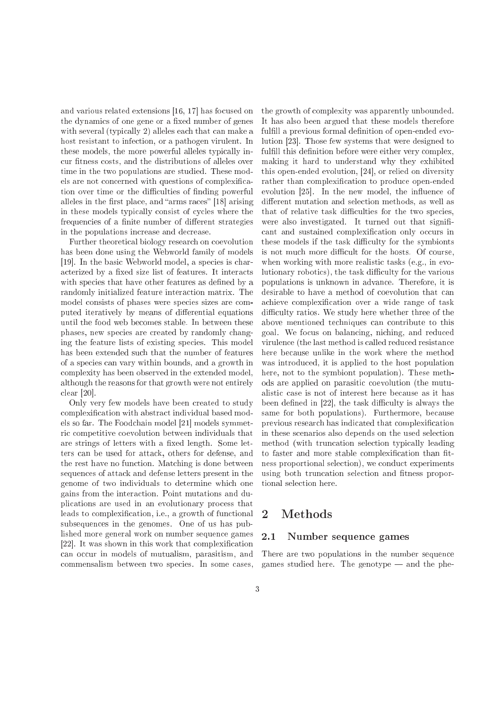and various related extensions  $[16, 17]$  has focused on the dynamics of one gene or a fixed number of genes with several (typically 2) alleles each that can make a host resistant to infection, or a pathogen virulent. In these models, the more powerful alleles typically incur fitness costs, and the distributions of alleles over time in the two populations are studied. These models are not on
erned with questions of omplexi
ation over time or the difficulties of finding powerful alleles in the first place, and "arms races"  $[18]$  arising in these models typically consist of cycles where the frequencies of a finite number of different strategies in the populations in
rease and de
rease.

Further theoreti
al biology resear
h on oevolution has been done using the Webworld family of models [19]. In the basic Webworld model, a species is characterized by a fixed size list of features. It interacts with species that have other features as defined by a randomly initialized feature interaction matrix. The model consists of phases were species sizes are computed iteratively by means of differential equations until the food web be
omes stable. In between these phases, new species are created by randomly changing the feature lists of existing species. This model has been extended such that the number of features of a spe
ies an vary within bounds, and a growth in omplexity has been observed in the extended model, although the reasons for that growth were not entirely  $clear$  [20].

Only very few models have been created to study complexification with abstract individual based models so far. The Foodchain model [21] models symmetric competitive coevolution between individuals that are strings of letters with a fixed length. Some letters an be used for atta
k, others for defense, and the rest have no fun
tion. Mat
hing is done between sequen
es of atta
k and defense letters present in the genome of two individuals to determine whi
h one gains from the intera
tion. Point mutations and dupli
ations are used in an evolutionary pro
ess that leads to complexification, i.e., a growth of functional subsequen
es in the genomes. One of us has published more general work on number sequen
e games [22]. It was shown in this work that complexification can occur in models of mutualism, parasitism, and ommensalism between two spe
ies. In some ases, the growth of omplexity was apparently unbounded. It has also been argued that these models therefore fulfill a previous formal definition of open-ended evolution [23]. Those few systems that were designed to fulfill this definition before were either very complex, making it hard to understand why they exhibited this open-ended evolution,  $[24]$ , or relied on diversity rather than complexification to produce open-ended evolution [25]. In the new model, the influence of different mutation and selection methods, as well as that of relative task difficulties for the two species, were also investigated. It turned out that significant and sustained complexification only occurs in these models if the task difficulty for the symbionts is not much more difficult for the hosts. Of course, when working with more realistic tasks (e.g., in evolutionary robotics), the task difficulty for the various populations is unknown in advan
e. Therefore, it is desirable to have a method of coevolution that can achieve complexification over a wide range of task difficulty ratios. We study here whether three of the above mentioned te
hniques an ontribute to this goal. We fo
us on balan
ing, ni
hing, and redu
ed virulen
e (the last method is alled redu
ed resistan
e here because unlike in the work where the method was introdu
ed, it is applied to the host population here, not to the symbiont population). These methods are applied on parasitic coevolution (the mutualistic case is not of interest here because as it has been defined in  $[22]$ , the task difficulty is always the same for both populations). Furthermore, because previous research has indicated that complexification in these s
enarios also depends on the used sele
tion method (with trun
ation sele
tion typi
ally leading to faster and more stable complexification than fitness proportional selection), we conduct experiments using both truncation selection and fitness proportional sele
tion here.

# 2 Methods

#### 2.1 Number sequen
e games

There are two populations in the number sequen
e games studied here. The genotype  $-$  and the phe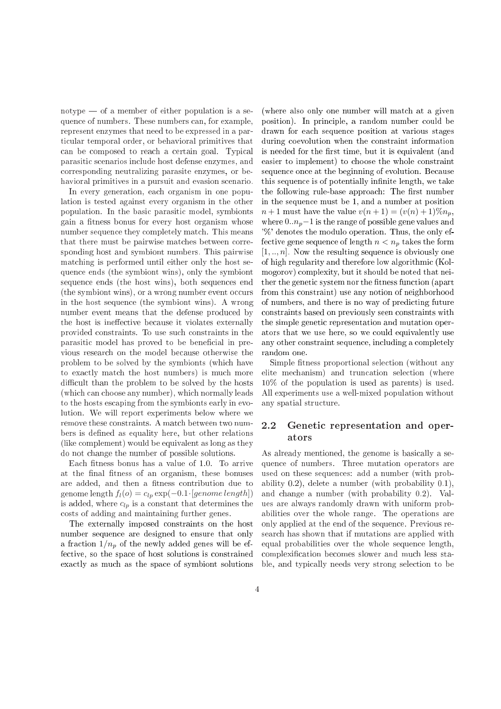notype  $\sim$  of a member of either population is a sequence of numbers. These numbers can, for example, represent enzymes that need to be expressed in a parti
ular temporal order, or behavioral primitives that an be omposed to rea
h a ertain goal. Typi
al parasitic scenarios include host defense enzymes, and orresponding neutralizing parasite enzymes, or behavioral primitives in a pursuit and evasion s
enario.

In every generation, each organism in one population is tested against every organism in the other population. In the basi parasiti model, symbionts gain a fitness bonus for every host organism whose number sequen
e they ompletely mat
h. This means that there must be pairwise mat
hes between orresponding host and symbiont numbers. This pairwise mat
hing is performed until either only the host sequen
e ends (the symbiont wins), only the symbiont sequence ends (the host wins), both sequences end  $($ the symbiont wins $)$ , or a wrong number event occurs in the host sequen
e (the symbiont wins). A wrong number event means that the defense produ
ed by the host is ineffective because it violates externally provided onstraints. To use su
h onstraints in the parasitic model has proved to be beneficial in previous resear
h on the model be
ause otherwise the problem to be solved by the symbionts (whi
h have to exactly match the host numbers) is much more difficult than the problem to be solved by the hosts (whi
h an hoose any number), whi
h normally leads to the hosts es
aping from the symbionts early in evolution. We will report experiments below where we remove these onstraints. A mat
h between two numbers is defined as equality here, but other relations (like omplement) would be equivalent as long as they do not hange the number of possible solutions.

Each fitness bonus has a value of 1.0. To arrive at the final fitness of an organism, these bonuses are added, and then a fitness contribution due to genome length  $f_l(o) = c_{lp} \exp(-0.1 \cdot [genome length])$ is added, where  $c_{lp}$  is a constant that determines the osts of adding and maintaining further genes.

The externally imposed onstraints on the host number sequen
e are designed to ensure that only a fraction  $1/n_p$  of the newly added genes will be effective, so the space of host solutions is constrained exa
tly as mu
h as the spa
e of symbiont solutions

(where also only one number will mat
h at a given position). In principle, a random number could be drawn for ea
h sequen
e position at various stages during oevolution when the onstraint information is needed for the first time, but it is equivalent (and easier to implement) to hoose the whole onstraint sequence once at the beginning of evolution. Because this sequence is of potentially infinite length, we take the following rule-base approach: The first number in the sequen
e must be 1, and a number at position  $n+1$  must have the value  $v(n+1) = (v(n)+1)\%n_p$ , where  $0..n_p-1$  is the range of possible gene values and '%' denotes the modulo operation. Thus, the only effective gene sequence of length  $n < n_p$  takes the form  $[1, ..., n]$ . Now the resulting sequence is obviously one of high regularity and therefore low algorithmi (Kolmogorov) omplexity, but it should be noted that neither the genetic system nor the fitness function (apart from this onstraint) use any notion of neighborhood of numbers, and there is no way of predi
ting future onstraints based on previously seen onstraints with the simple genetic representation and mutation operators that we use here, so we ould equivalently use any other onstraint sequen
e, in
luding a ompletely random one.

Simple fitness proportional selection (without any elite mechanism) and truncation selection (where 10% of the population is used as parents) is used. All experiments use a well-mixed population without any spatial stru
ture.

### 2.2 Genetic representation and operators

As already mentioned, the genome is basically a sequen
e of numbers. Three mutation operators are used on these sequen
es: add a number (with probability 0.2), delete a number (with probability 0.1), and hange a number (with probability 0.2). Values are always randomly drawn with uniform probabilities over the whole range. The operations are only applied at the end of the sequen
e. Previous resear
h has shown that if mutations are applied with equal probabilities over the whole sequence length, complexification becomes slower and much less stable, and typically needs very strong selection to be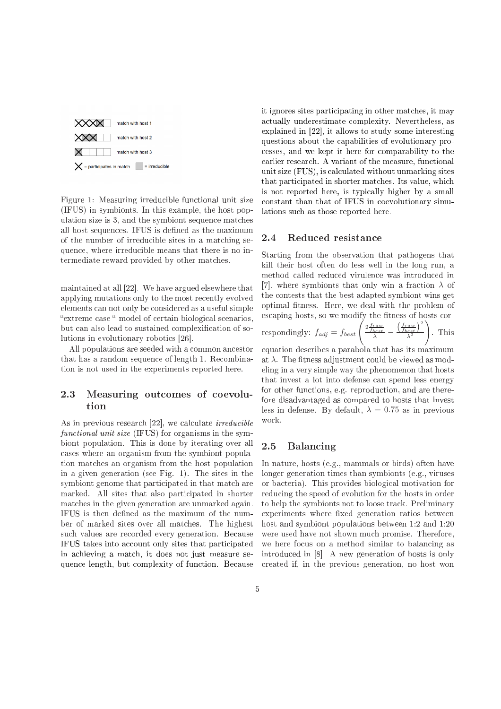

Figure 1: Measuring irreducible functional unit size (IFUS) in symbionts. In this example, the host population size is 3, and the symbiont sequen
e mat
hes all host sequences. IFUS is defined as the maximum of the number of irredu
ible sites in a mat
hing sequence, where irreducible means that there is no intermediate reward provided by other mat
hes.

maintained at all  $[22]$ . We have argued elsewhere that applying mutations only to the most re
ently evolved elements an not only be onsidered as a useful simple "extreme case " model of certain biological scenarios, but can also lead to sustained complexification of solutions in evolutionary robotics [26].

All populations are seeded with a common ancestor that has a random sequence of length 1. Recombination is not used in the experiments reported here.

#### 2.3 Measuring out
omes of oevolution

As in previous research  $[22]$ , we calculate *irreducible* functional unit size (IFUS) for organisms in the symbiont population. This is done by iterating over all ases where an organism from the symbiont population mat
hes an organism from the host population in a given generation (see Fig. 1). The sites in the symbiont genome that participated in that match are marked. All sites that also participated in shorter mat
hes in the given generation are unmarked again. IFUS is then defined as the maximum of the number of marked sites over all mat
hes. The highest su
h values are re
orded every generation. Be
ause IFUS takes into account only sites that participated in a
hieving a mat
h, it does not just measure sequence length, but complexity of function. Because it ignores sites participating in other matches, it may a
tually underestimate omplexity. Nevertheless, as explained in  $[22]$ , it allows to study some interesting questions about the apabilities of evolutionary pro esses, and we kept it here for omparability to the earlier research. A variant of the measure, functional unit size (FUS), is calculated without unmarking sites that participated in shorter matches. Its value, which is not reported here, is typically higher by a small onstant than that of IFUS in oevolutionary simulations su
h as those reported here.

#### 2.4 Redu
ed resistan
e

Starting from the observation that pathogens that kill their host often do less well in the long run, a method alled redu
ed virulen
e was introdu
ed in [7], where symbionts that only win a fraction  $\lambda$  of the ontests that the best adapted symbiont wins get optimal fitness. Here, we deal with the problem of escaping hosts, so we modify the fitness of hosts cor-

respondingly: 
$$
f_{adj} = f_{best} \left( \frac{2 \frac{fraw}{f_{best}}}{\lambda} - \frac{\left(\frac{fraw}{f_{best}}\right)^2}{\lambda^2} \right)
$$
. This

equation des
ribes a parabola that has its maximum at  $\lambda$ . The fitness adjustment could be viewed as modeling in a very simple way the phenomenon that hosts that invest a lot into defense an spend less energy for other functions, e.g. reproduction, and are therefore disadvantaged as ompared to hosts that invest less in defense. By default,  $\lambda = 0.75$  as in previous work.

### 2.5 Balan
ing

In nature, hosts (e.g., mammals or birds) often have longer generation times than symbionts (e.g., viruses or ba
teria). This provides biologi
al motivation for redu
ing the speed of evolution for the hosts in order to help the symbionts not to loose tra
k. Preliminary experiments where fixed generation ratios between host and symbiont populations between 1:2 and 1:20 were used have not shown mu
h promise. Therefore, we here focus on a method similar to balancing as introduced in  $[8]$ : A new generation of hosts is only reated if, in the previous generation, no host won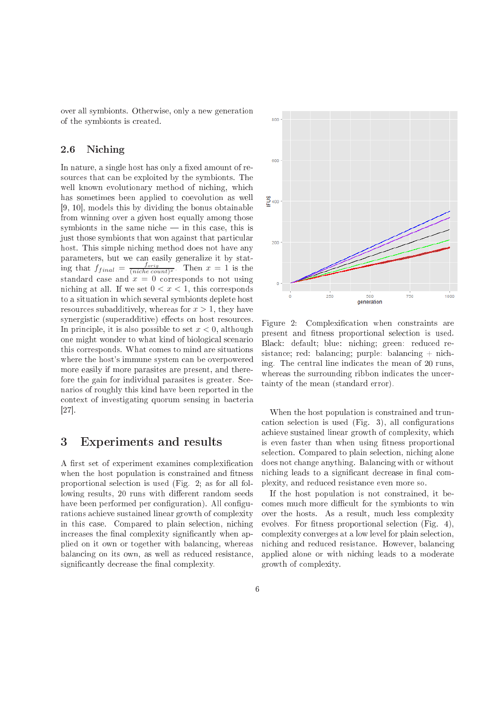over all symbionts. Otherwise, only a new generation of the symbionts is reated.

#### 2.6 Ni
hing

In nature, a single host has only a fixed amount of resour
es that an be exploited by the symbionts. The well known evolutionary method of niching, which has sometimes been applied to oevolution as well  $[9, 10]$ , models this by dividing the bonus obtainable from winning over a given host equally among those symbionts in the same niche  $-$  in this case, this is just those symbionts that won against that particular host. This simple niching method does not have any parameters, but we an easily generalize it by stating that  $f_{final} = \frac{f_{orig}}{(niche\;con}$  $\frac{Jorig}{(niche\ count)^x}$ . Then  $x=1$  is the standard case and  $x = 0$  corresponds to not using niching at all. If we set  $0 < x < 1$ , this corresponds to a situation in whi
h several symbionts deplete host resources subadditively, whereas for  $x > 1$ , they have synergistic (superadditive) effects on host resources. In principle, it is also possible to set  $x < 0$ , although one might wonder to what kind of biologi
al s
enario this orresponds. What omes to mind are situations where the host's immune system can be overpowered more easily if more parasites are present, and therefore the gain for individual parasites is greater. Scenarios of roughly this kind have been reported in the ontext of investigating quorum sensing in ba
teria  $[27]$ .

# 3 Experiments and results

A first set of experiment examines complexification when the host population is constrained and fitness proportional sele
tion is used (Fig. 2; as for all following results, 20 runs with different random seeds have been performed per configuration). All configurations achieve sustained linear growth of complexity in this ase. Compared to plain sele
tion, ni
hing increases the final complexity significantly when applied on it own or together with balan
ing, whereas balan
ing on its own, as well as redu
ed resistan
e, significantly decrease the final complexity.



Figure 2: Complexification when constraints are present and fitness proportional selection is used. Black: default; blue: niching; green: reduced resistance; red: balancing; purple: balancing  $+$  niching. The central line indicates the mean of 20 runs, whereas the surrounding ribbon indicates the uncertainty of the mean (standard error).

When the host population is constrained and truncation selection is used (Fig. 3), all configurations a
hieve sustained linear growth of omplexity, whi
h is even faster than when using fitness proportional selection. Compared to plain selection, niching alone does not hange anything. Balan
ing with or without niching leads to a significant decrease in final complexity, and redu
ed resistan
e even more so.

If the host population is not constrained, it becomes much more difficult for the symbionts to win over the hosts. As a result, mu
h less omplexity evolves. For fitness proportional selection (Fig.  $4$ ), omplexity onverges at a low level for plain sele
tion, ni
hing and redu
ed resistan
e. However, balan
ing applied alone or with ni
hing leads to a moderate growth of omplexity.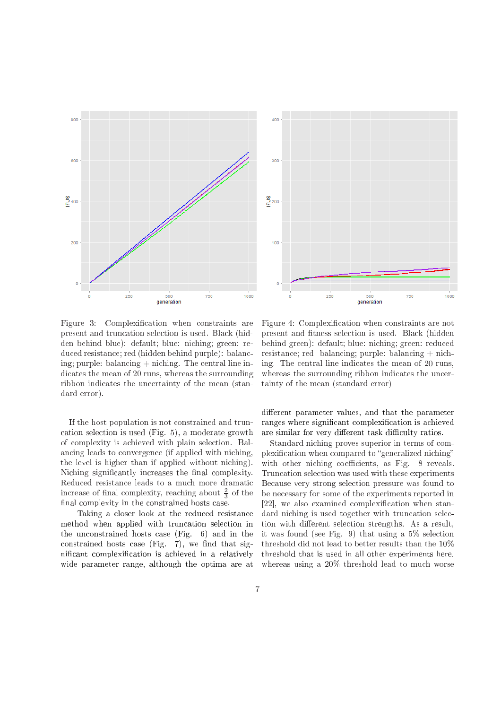

Figure 3: Complexification when constraints are present and truncation selection is used. Black (hidden behind blue): default; blue: ni
hing; green: redu
ed resistan
e; red (hidden behind purple): balan
 ing; purple: balancing  $+$  niching. The central line indicates the mean of 20 runs, whereas the surrounding ribbon indicates the uncertainty of the mean (standard error).

If the host population is not constrained and trunation sele
tion is used (Fig. 5), a moderate growth of omplexity is a
hieved with plain sele
tion. Balan
ing leads to onvergen
e (if applied with ni
hing, the level is higher than if applied without ni
hing). Niching significantly increases the final complexity. Redu
ed resistan
e leads to a mu
h more dramati increase of final complexity, reaching about  $\frac{2}{3}$  of the final complexity in the constrained hosts case.

Taking a closer look at the reduced resistance method when applied with truncation selection in the un
onstrained hosts ase (Fig. 6) and in the constrained hosts case (Fig.  $7$ ), we find that significant complexification is achieved in a relatively wide parameter range, although the optima are at

Figure 4: Complexification when constraints are not present and fitness selection is used. Black (hidden behind green): default; blue: ni
hing; green: redu
ed resistance; red: balancing; purple: balancing  $+$  niching. The central line indicates the mean of 20 runs, whereas the surrounding ribbon indicates the uncertainty of the mean (standard error).

different parameter values, and that the parameter ranges where significant complexification is achieved are similar for very different task difficulty ratios.

Standard niching proves superior in terms of complexification when compared to "generalized niching" with other niching coefficients, as Fig. 8 reveals. Trun
ation sele
tion was used with these experiments Be
ause very strong sele
tion pressure was found to be ne
essary for some of the experiments reported in [22], we also examined complexification when standard niching is used together with truncation selection with different selection strengths. As a result, it was found (see Fig. 9) that using a 5% sele
tion threshold did not lead to better results than the 10% threshold that is used in all other experiments here, whereas using a 20% threshold lead to mu
h worse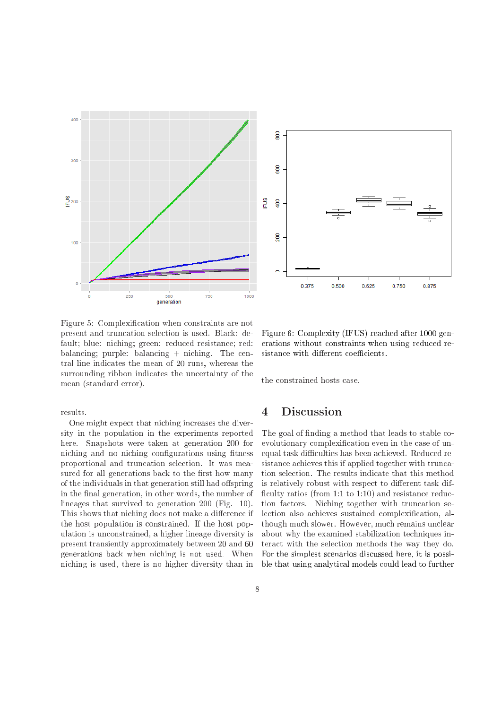

Figure 5: Complexification when constraints are not present and trun
ation sele
tion is used. Bla
k: default; blue: niching; green: reduced resistance; red: balancing; purple: balancing  $+$  niching. The central line indi
ates the mean of 20 runs, whereas the surrounding ribbon indicates the uncertainty of the mean (standard error).

results.

One might expect that niching increases the diversity in the population in the experiments reported here. Snapshots were taken at generation 200 for niching and no niching configurations using fitness proportional and truncation selection. It was measured for all generations back to the first how many of the individuals in that generation still had offspring in the final generation, in other words, the number of lineages that survived to generation 200 (Fig. 10). This shows that niching does not make a difference if the host population is onstrained. If the host population is un
onstrained, a higher lineage diversity is present transiently approximately between 20 and 60 generations ba
k when ni
hing is not used. When ni
hing is used, there is no higher diversity than in Figure 6: Complexity (IFUS) rea
hed after 1000 generations without onstraints when using redu
ed resistance with different coefficients.

the onstrained hosts ase.

#### $\overline{\mathbf{4}}$ **Discussion**

The goal of finding a method that leads to stable coevolutionary complexification even in the case of unequal task difficulties has been achieved. Reduced resistance achieves this if applied together with truncation selection. The results indicate that this method is relatively robust with respect to different task difficulty ratios (from 1:1 to 1:10) and resistance reduction factors. Niching together with truncation selection also achieves sustained complexification, although mu
h slower. However, mu
h remains un
lear about why the examined stabilization techniques interact with the selection methods the way they do. For the simplest s
enarios dis
ussed here, it is possible that using analytical models could lead to further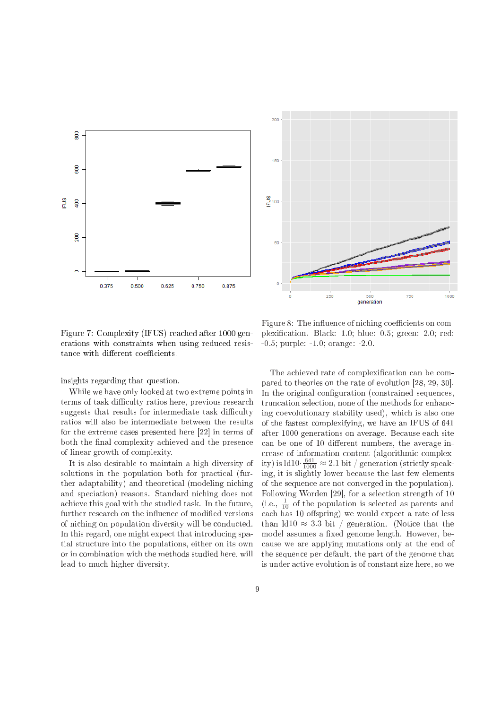



Figure 7: Complexity (IFUS) rea
hed after 1000 generations with onstraints when using redu
ed resistance with different coefficients.

insights regarding that question.

While we have only looked at two extreme points in terms of task difficulty ratios here, previous research suggests that results for intermediate task difficulty ratios will also be intermediate between the results for the extreme cases presented here  $[22]$  in terms of both the final complexity achieved and the presence of linear growth of omplexity.

It is also desirable to maintain a high diversity of solutions in the population both for practical (further adaptability) and theoreti
al (modeling ni
hing and spe
iation) reasons. Standard ni
hing does not a
hieve this goal with the studied task. In the future, further research on the influence of modified versions of ni
hing on population diversity will be ondu
ted. In this regard, one might expect that introducing spatial structure into the populations, either on its own or in ombination with the methods studied here, will lead to mu
h higher diversity.

Figure 8: The influence of niching coefficients on complexification. Black: 1.0; blue: 0.5; green: 2.0; red: -0.5; purple: -1.0; orange: -2.0.

The achieved rate of complexification can be compared to theories on the rate of evolution  $[28, 29, 30]$ . In the original configuration (constrained sequences, truncation selection, none of the methods for enhancing oevolutionary stability used), whi
h is also one of the fastest omplexifying, we have an IFUS of 641 after 1000 generations on average. Be
ause ea
h site can be one of 10 different numbers, the average increase of information content (algorithmic complexity) is  $\text{ld}10 \cdot \frac{641}{1000} \approx 2.1 \text{ bit}$  / generation (strictly speaking, it is slightly lower be
ause the last few elements of the sequen
e are not onverged in the population). Following Worden [29], for a selection strength of  $10$ (i.e.,  $\frac{1}{10}$  of the population is selected as parents and each has 10 offspring) we would expect a rate of less than  $\text{Id}10 \approx 3.3$  bit / generation. (Notice that the model assumes a fixed genome length. However, beause we are applying mutations only at the end of the sequen
e per default, the part of the genome that is under a
tive evolution is of onstant size here, so we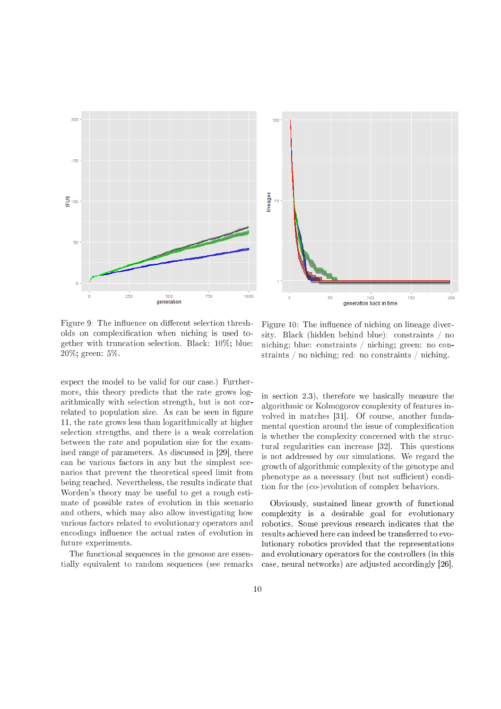

Figure 9: The influence on different selection thresholds on complexification when niching is used together with trun
ation sele
tion. Bla
k: 10%; blue: 20%; green: 5%.

expect the model to be valid for our case.) Furthermore, this theory predicts that the rate grows logarithmi
ally with sele
tion strength, but is not orrelated to population size. As can be seen in figure 11, the rate grows less than logarithmi
ally at higher selection strengths, and there is a weak correlation between the rate and population size for the examined range of parameters. As discussed in [29], there can be various factors in any but the simplest scenarios that prevent the theoreti
al speed limit from being reached. Nevertheless, the results indicate that Worden's theory may be useful to get a rough estimate of possible rates of evolution in this s
enario and others, whi
h may also allow investigating how various fa
tors related to evolutionary operators and encodings influence the actual rates of evolution in future experiments.

The functional sequences in the genome are essentially equivalent to random sequen
es (see remarks

Figure 10: The influence of niching on lineage diversity. Bla
k (hidden behind blue): onstraints / no ni
hing; blue: onstraints / ni
hing; green: no onstraints / no niching; red: no constraints / niching.

in se
tion 2.3), therefore we basi
ally measure the algorithmi or Kolmogorov omplexity of features involved in matches [31]. Of course, another fundamental question around the issue of complexification is whether the omplexity on
erned with the stru
 tural regularities can increase  $[32]$ . This questions is not addressed by our simulations. We regard the growth of algorithmic complexity of the genotype and phenotype as a necessary (but not sufficient) condition for the (
o-)evolution of omplex behaviors.

Obviously, sustained linear growth of fun
tional omplexity is a desirable goal for evolutionary robotics. Some previous research indicates that the results a
hieved here an indeed be transferred to evolutionary roboti
s provided that the representations and evolutionary operators for the ontrollers (in this case, neural networks) are adjusted accordingly [26].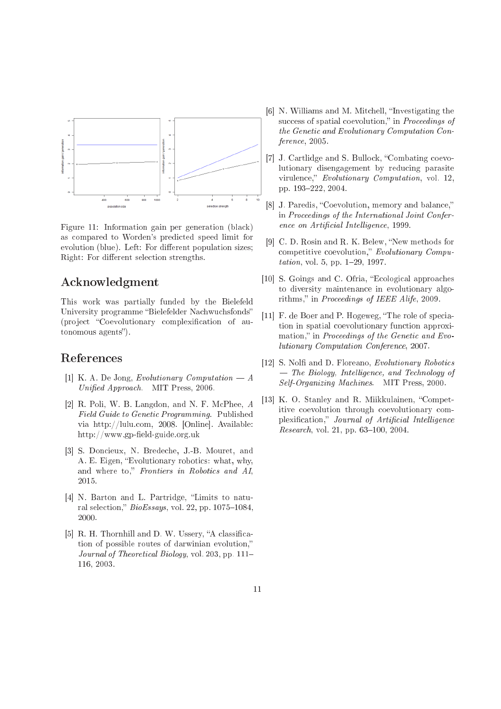

Figure 11: Information gain per generation (black) as compared to Worden's predicted speed limit for evolution (blue). Left: For different population sizes; Right: For different selection strengths.

# Acknowledgment

This work was partially funded by the Bielefeld University programme "Bielefelder Nachwuchsfonds" (project "Coevolutionary complexification of autonomous agents").

### References

- [1] K. A. De Jong, *Evolutionary Computation*  $-A$ Unified Approach. MIT Press, 2006.
- [2] R. Poli, W. B. Langdon, and N. F. McPhee, A Field Guide to Genetic Programming. Published via http://lulu.com, 2008. [Online]. Available: http://www.gp-field-guide.org.uk
- [3] S. Doncieux, N. Bredeche, J.-B. Mouret, and A. E. Eigen, "Evolutionary robotics: what, why. and where to," Frontiers in Robotics and AI, 2015.
- [4] N. Barton and L. Partridge, "Limits to natural selection,"  $BioEssays$ , vol. 22, pp. 1075-1084, 2000.
- [5] R. H. Thornhill and D. W. Ussery, "A classification of possible routes of darwinian evolution," Journal of Theoretical Biology, vol. 203, pp. 111-116, 2003.
- [6] N. Williams and M. Mitchell, "Investigating the success of spatial coevolution," in Proceedings of the Genetic and Evolutionary Computation Con $ference, 2005.$
- [7] J. Cartlidge and S. Bullock, "Combating coevolutionary disengagement by reducing parasite virulence," Evolutionary Computation, vol. 12, pp. 193-222, 2004.
- [8] J. Paredis, "Coevolution, memory and balance," in Proceedings of the International Joint Conference on Artificial Intelligence, 1999.
- [9] C. D. Rosin and R. K. Belew, "New methods for competitive coevolution," Evolutionary Compu $tation$ , vol. 5, pp. 1-29, 1997.
- [10] S. Goings and C. Ofria, "Ecological approaches to diversity maintenance in evolutionary algorithms," in Proceedings of IEEE Alife, 2009.
- [11] F. de Boer and P. Hogeweg, "The role of speciation in spatial coevolutionary function approximation," in Proceedings of the Genetic and Evolutionary Computation Conference, 2007.
- [12] S. Nolfi and D. Floreano, Evolutionary Robotics - The Biology, Intelligence, and Technology of Self-Organizing Machines. MIT Press, 2000.
- [13] K. O. Stanley and R. Miikkulainen, "Competitive coevolution through coevolutionary complexification," Journal of Artificial Intelligence Research, vol. 21, pp. 63-100, 2004.